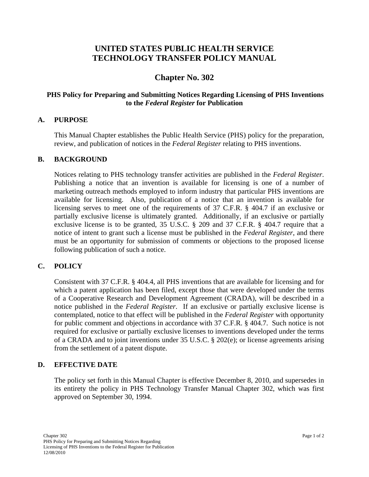# **UNITED STATES PUBLIC HEALTH SERVICE TECHNOLOGY TRANSFER POLICY MANUAL**

# **Chapter No. 302**

## **PHS Policy for Preparing and Submitting Notices Regarding Licensing of PHS Inventions to the** *Federal Register* **for Publication**

#### **A. PURPOSE**

This Manual Chapter establishes the Public Health Service (PHS) policy for the preparation, review, and publication of notices in the *Federal Register* relating to PHS inventions.

#### **B. BACKGROUND**

Notices relating to PHS technology transfer activities are published in the *Federal Register*. Publishing a notice that an invention is available for licensing is one of a number of marketing outreach methods employed to inform industry that particular PHS inventions are available for licensing. Also, publication of a notice that an invention is available for licensing serves to meet one of the requirements of 37 C.F.R. § 404.7 if an exclusive or partially exclusive license is ultimately granted. Additionally, if an exclusive or partially exclusive license is to be granted, 35 U.S.C. § 209 and 37 C.F.R. § 404.7 require that a notice of intent to grant such a license must be published in the *Federal Register*, and there must be an opportunity for submission of comments or objections to the proposed license following publication of such a notice.

## **C. POLICY**

Consistent with 37 C.F.R. § 404.4, all PHS inventions that are available for licensing and for which a patent application has been filed, except those that were developed under the terms of a Cooperative Research and Development Agreement (CRADA), will be described in a notice published in the *Federal Register*. If an exclusive or partially exclusive license is contemplated, notice to that effect will be published in the *Federal Register* with opportunity for public comment and objections in accordance with 37 C.F.R. § 404.7. Such notice is not required for exclusive or partially exclusive licenses to inventions developed under the terms of a CRADA and to joint inventions under 35 U.S.C. § 202(e); or license agreements arising from the settlement of a patent dispute.

## **D. EFFECTIVE DATE**

The policy set forth in this Manual Chapter is effective December 8, 2010, and supersedes in its entirety the policy in PHS Technology Transfer Manual Chapter 302, which was first approved on September 30, 1994.